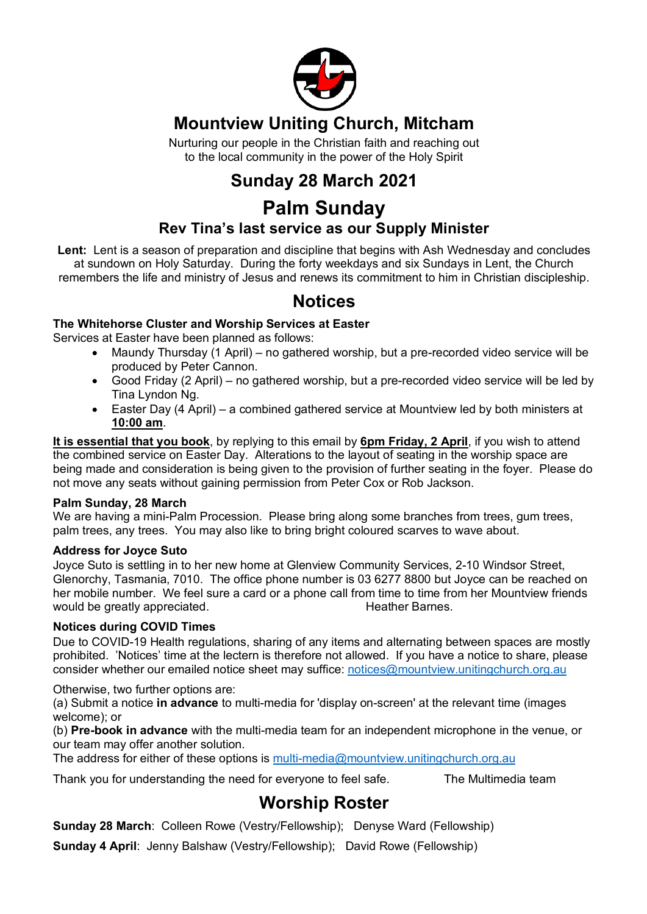

## **Mountview Uniting Church, Mitcham**

Nurturing our people in the Christian faith and reaching out to the local community in the power of the Holy Spirit

# **Sunday 28 March 2021**

# **Palm Sunday**

### **Rev Tina's last service as our Supply Minister**

**Lent:** Lent is a season of preparation and discipline that begins with Ash Wednesday and concludes at sundown on Holy Saturday. During the forty weekdays and six Sundays in Lent, the Church remembers the life and ministry of Jesus and renews its commitment to him in Christian discipleship.

### **Notices**

#### **The Whitehorse Cluster and Worship Services at Easter**

Services at Easter have been planned as follows:

- Maundy Thursday (1 April) no gathered worship, but a pre-recorded video service will be produced by Peter Cannon.
- Good Friday (2 April) no gathered worship, but a pre-recorded video service will be led by Tina Lyndon Ng.
- Easter Day (4 April) a combined gathered service at Mountview led by both ministers at **10:00 am**.

**It is essential that you book**, by replying to this email by **6pm Friday, 2 April**, if you wish to attend the combined service on Easter Day. Alterations to the layout of seating in the worship space are being made and consideration is being given to the provision of further seating in the foyer. Please do not move any seats without gaining permission from Peter Cox or Rob Jackson.

#### **Palm Sunday, 28 March**

We are having a mini-Palm Procession. Please bring along some branches from trees, gum trees, palm trees, any trees. You may also like to bring bright coloured scarves to wave about.

#### **Address for Joyce Suto**

Joyce Suto is settling in to her new home at Glenview Community Services, 2-10 Windsor Street, Glenorchy, Tasmania, 7010. The office phone number is 03 6277 8800 but Joyce can be reached on her mobile number. We feel sure a card or a phone call from time to time from her Mountview friends would be greatly appreciated. The set of the Heather Barnes.

#### **Notices during COVID Times**

Due to COVID-19 Health regulations, sharing of any items and alternating between spaces are mostly prohibited. 'Notices' time at the lectern is therefore not allowed. If you have a notice to share, please consider whether our emailed notice sheet may suffice: notices@mountview.unitingchurch.org.au

Otherwise, two further options are:

(a) Submit a notice **in advance** to multi-media for 'display on-screen' at the relevant time (images welcome); or

(b) **Pre-book in advance** with the multi-media team for an independent microphone in the venue, or our team may offer another solution.

The address for either of these options is multi-media@mountview.unitingchurch.org.au

Thank you for understanding the need for everyone to feel safe. The Multimedia team

## **Worship Roster**

**Sunday 28 March**: Colleen Rowe (Vestry/Fellowship); Denyse Ward (Fellowship)

**Sunday 4 April**: Jenny Balshaw (Vestry/Fellowship); David Rowe (Fellowship)